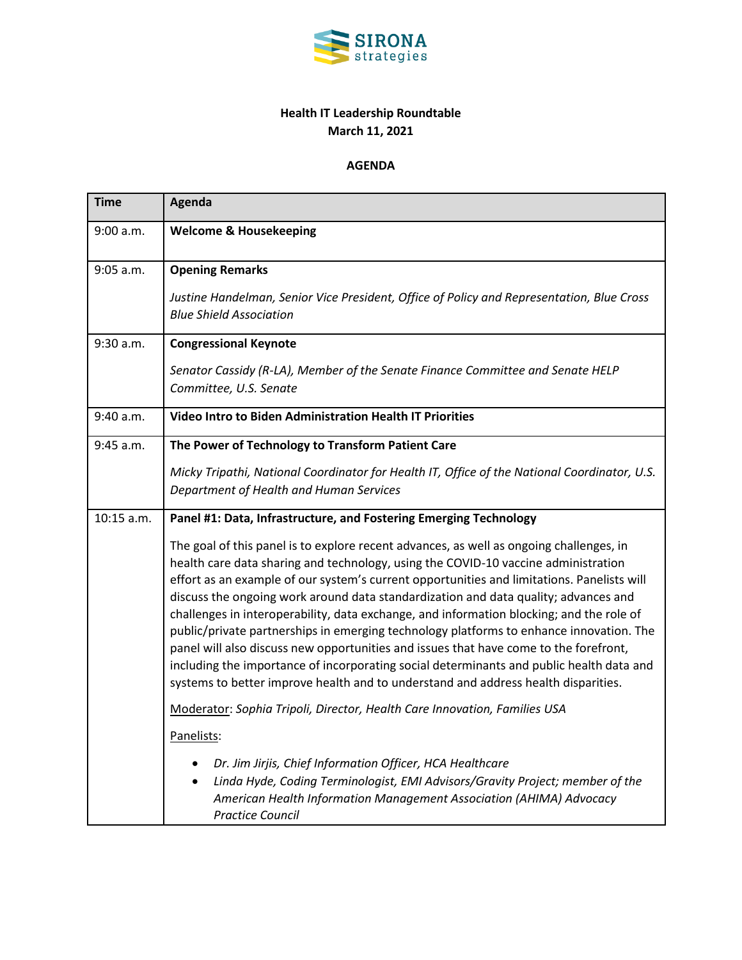

## **Health IT Leadership Roundtable March 11, 2021**

## **AGENDA**

| <b>Time</b> | <b>Agenda</b>                                                                                                                                                                                                                                                                                                                                                                                                                                                                                                                                                                                                                                                                                                                                                                                                                        |
|-------------|--------------------------------------------------------------------------------------------------------------------------------------------------------------------------------------------------------------------------------------------------------------------------------------------------------------------------------------------------------------------------------------------------------------------------------------------------------------------------------------------------------------------------------------------------------------------------------------------------------------------------------------------------------------------------------------------------------------------------------------------------------------------------------------------------------------------------------------|
| 9:00 a.m.   | <b>Welcome &amp; Housekeeping</b>                                                                                                                                                                                                                                                                                                                                                                                                                                                                                                                                                                                                                                                                                                                                                                                                    |
| $9:05$ a.m. | <b>Opening Remarks</b>                                                                                                                                                                                                                                                                                                                                                                                                                                                                                                                                                                                                                                                                                                                                                                                                               |
|             | Justine Handelman, Senior Vice President, Office of Policy and Representation, Blue Cross<br><b>Blue Shield Association</b>                                                                                                                                                                                                                                                                                                                                                                                                                                                                                                                                                                                                                                                                                                          |
| 9:30 a.m.   | <b>Congressional Keynote</b>                                                                                                                                                                                                                                                                                                                                                                                                                                                                                                                                                                                                                                                                                                                                                                                                         |
|             | Senator Cassidy (R-LA), Member of the Senate Finance Committee and Senate HELP<br>Committee, U.S. Senate                                                                                                                                                                                                                                                                                                                                                                                                                                                                                                                                                                                                                                                                                                                             |
| 9:40 a.m.   | Video Intro to Biden Administration Health IT Priorities                                                                                                                                                                                                                                                                                                                                                                                                                                                                                                                                                                                                                                                                                                                                                                             |
| 9:45 a.m.   | The Power of Technology to Transform Patient Care                                                                                                                                                                                                                                                                                                                                                                                                                                                                                                                                                                                                                                                                                                                                                                                    |
|             | Micky Tripathi, National Coordinator for Health IT, Office of the National Coordinator, U.S.<br>Department of Health and Human Services                                                                                                                                                                                                                                                                                                                                                                                                                                                                                                                                                                                                                                                                                              |
| 10:15 a.m.  | Panel #1: Data, Infrastructure, and Fostering Emerging Technology                                                                                                                                                                                                                                                                                                                                                                                                                                                                                                                                                                                                                                                                                                                                                                    |
|             | The goal of this panel is to explore recent advances, as well as ongoing challenges, in<br>health care data sharing and technology, using the COVID-10 vaccine administration<br>effort as an example of our system's current opportunities and limitations. Panelists will<br>discuss the ongoing work around data standardization and data quality; advances and<br>challenges in interoperability, data exchange, and information blocking; and the role of<br>public/private partnerships in emerging technology platforms to enhance innovation. The<br>panel will also discuss new opportunities and issues that have come to the forefront,<br>including the importance of incorporating social determinants and public health data and<br>systems to better improve health and to understand and address health disparities. |
|             | Moderator: Sophia Tripoli, Director, Health Care Innovation, Families USA                                                                                                                                                                                                                                                                                                                                                                                                                                                                                                                                                                                                                                                                                                                                                            |
|             | Panelists:                                                                                                                                                                                                                                                                                                                                                                                                                                                                                                                                                                                                                                                                                                                                                                                                                           |
|             | Dr. Jim Jirjis, Chief Information Officer, HCA Healthcare<br>Linda Hyde, Coding Terminologist, EMI Advisors/Gravity Project; member of the<br>American Health Information Management Association (AHIMA) Advocacy<br><b>Practice Council</b>                                                                                                                                                                                                                                                                                                                                                                                                                                                                                                                                                                                         |